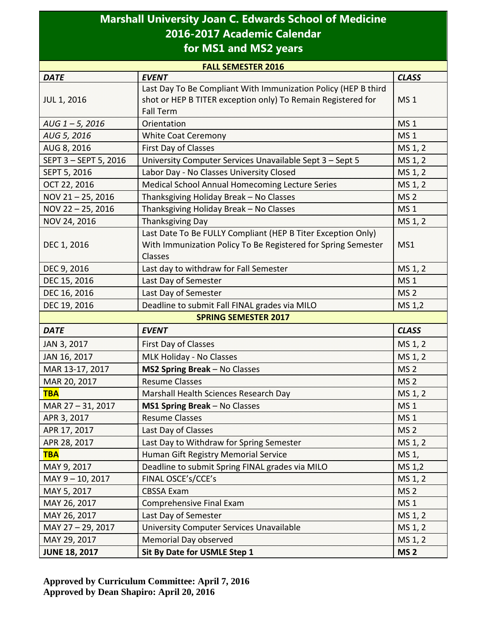## **Marshall University Joan C. Edwards School of Medicine 2016-2017 Academic Calendar for MS1 and MS2 years**

| <b>FALL SEMESTER 2016</b>   |                                                                |                 |  |  |
|-----------------------------|----------------------------------------------------------------|-----------------|--|--|
| <b>DATE</b>                 | <b>EVENT</b>                                                   | <b>CLASS</b>    |  |  |
| <b>JUL 1, 2016</b>          | Last Day To Be Compliant With Immunization Policy (HEP B third |                 |  |  |
|                             | shot or HEP B TITER exception only) To Remain Registered for   | <b>MS1</b>      |  |  |
|                             | <b>Fall Term</b>                                               |                 |  |  |
| $AUG$ 1-5, 2016             | Orientation                                                    | <b>MS1</b>      |  |  |
| AUG 5, 2016                 | <b>White Coat Ceremony</b>                                     | <b>MS1</b>      |  |  |
| AUG 8, 2016                 | <b>First Day of Classes</b>                                    | MS 1, 2         |  |  |
| SEPT 3 - SEPT 5, 2016       | University Computer Services Unavailable Sept 3 - Sept 5       | MS 1, 2         |  |  |
| SEPT 5, 2016                | Labor Day - No Classes University Closed                       | MS 1, 2         |  |  |
| OCT 22, 2016                | Medical School Annual Homecoming Lecture Series                | MS 1, 2         |  |  |
| NOV 21-25, 2016             | Thanksgiving Holiday Break - No Classes                        | <b>MS 2</b>     |  |  |
| NOV 22-25, 2016             | Thanksgiving Holiday Break - No Classes                        | <b>MS1</b>      |  |  |
| NOV 24, 2016                | <b>Thanksgiving Day</b>                                        | MS 1, 2         |  |  |
|                             | Last Date To Be FULLY Compliant (HEP B Titer Exception Only)   |                 |  |  |
| DEC 1, 2016                 | With Immunization Policy To Be Registered for Spring Semester  | MS1             |  |  |
|                             | Classes                                                        |                 |  |  |
| DEC 9, 2016                 | Last day to withdraw for Fall Semester                         | MS 1, 2         |  |  |
| DEC 15, 2016                | Last Day of Semester                                           | <b>MS1</b>      |  |  |
| DEC 16, 2016                | Last Day of Semester                                           | MS <sub>2</sub> |  |  |
| DEC 19, 2016                | Deadline to submit Fall FINAL grades via MILO                  | MS 1,2          |  |  |
| <b>SPRING SEMESTER 2017</b> |                                                                |                 |  |  |
| <b>DATE</b>                 | <b>EVENT</b>                                                   | <b>CLASS</b>    |  |  |
| JAN 3, 2017                 | <b>First Day of Classes</b>                                    | MS 1, 2         |  |  |
| JAN 16, 2017                | MLK Holiday - No Classes                                       | MS 1, 2         |  |  |
| MAR 13-17, 2017             | MS2 Spring Break - No Classes                                  | MS <sub>2</sub> |  |  |
| MAR 20, 2017                | <b>Resume Classes</b>                                          | MS <sub>2</sub> |  |  |
| <b>TBA</b>                  | Marshall Health Sciences Research Day                          | MS 1, 2         |  |  |
| MAR 27-31, 2017             | MS1 Spring Break - No Classes                                  | MS <sub>1</sub> |  |  |
| APR 3, 2017                 | <b>Resume Classes</b>                                          | <b>MS1</b>      |  |  |
| APR 17, 2017                | Last Day of Classes                                            | MS <sub>2</sub> |  |  |
| APR 28, 2017                | Last Day to Withdraw for Spring Semester                       | MS 1, 2         |  |  |
| <b>TBA</b>                  | Human Gift Registry Memorial Service                           | $MS_1$ ,        |  |  |
| MAY 9, 2017                 | Deadline to submit Spring FINAL grades via MILO                | MS 1,2          |  |  |
| MAY 9-10, 2017              | FINAL OSCE's/CCE's                                             | MS 1, 2         |  |  |
| MAY 5, 2017                 | <b>CBSSA Exam</b>                                              | MS <sub>2</sub> |  |  |
| MAY 26, 2017                | Comprehensive Final Exam                                       | <b>MS1</b>      |  |  |
| MAY 26, 2017                | Last Day of Semester                                           | MS 1, 2         |  |  |
| MAY 27-29, 2017             | University Computer Services Unavailable                       | MS 1, 2         |  |  |
| MAY 29, 2017                | Memorial Day observed                                          | MS 1, 2         |  |  |
| <b>JUNE 18, 2017</b>        | Sit By Date for USMLE Step 1                                   | MS <sub>2</sub> |  |  |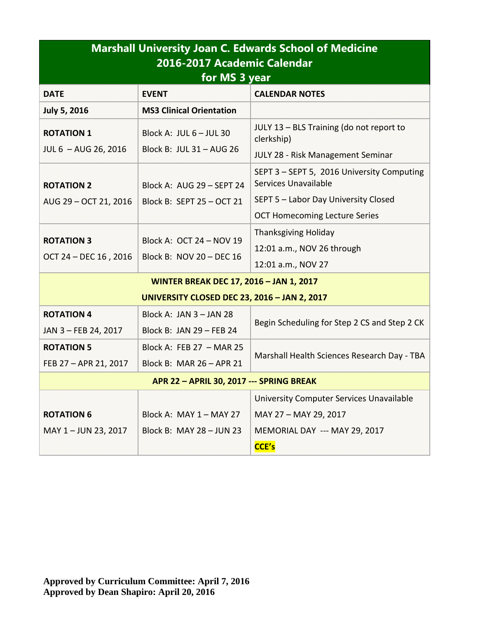| <b>Marshall University Joan C. Edwards School of Medicine</b><br>2016-2017 Academic Calendar<br>for MS 3 year |                                                        |                                                                                                                                                    |  |  |
|---------------------------------------------------------------------------------------------------------------|--------------------------------------------------------|----------------------------------------------------------------------------------------------------------------------------------------------------|--|--|
| <b>DATE</b>                                                                                                   | <b>EVENT</b>                                           | <b>CALENDAR NOTES</b>                                                                                                                              |  |  |
| <b>July 5, 2016</b>                                                                                           | <b>MS3 Clinical Orientation</b>                        |                                                                                                                                                    |  |  |
| <b>ROTATION 1</b><br>JUL 6 - AUG 26, 2016                                                                     | Block A: JUL 6 - JUL 30<br>Block B: JUL 31 - AUG 26    | JULY 13 - BLS Training (do not report to<br>clerkship)<br><b>JULY 28 - Risk Management Seminar</b>                                                 |  |  |
| <b>ROTATION 2</b><br>AUG 29 - OCT 21, 2016                                                                    | Block A: AUG 29 - SEPT 24<br>Block B: SEPT 25 - OCT 21 | SEPT 3 - SEPT 5, 2016 University Computing<br>Services Unavailable<br>SEPT 5 - Labor Day University Closed<br><b>OCT Homecoming Lecture Series</b> |  |  |
| <b>ROTATION 3</b><br>OCT 24 - DEC 16, 2016                                                                    | Block A: OCT 24 - NOV 19<br>Block B: NOV 20 - DEC 16   | <b>Thanksgiving Holiday</b><br>12:01 a.m., NOV 26 through<br>12:01 a.m., NOV 27                                                                    |  |  |
| <b>WINTER BREAK DEC 17, 2016 - JAN 1, 2017</b>                                                                |                                                        |                                                                                                                                                    |  |  |
|                                                                                                               | <b>UNIVERSITY CLOSED DEC 23, 2016 - JAN 2, 2017</b>    |                                                                                                                                                    |  |  |
| <b>ROTATION 4</b><br>JAN 3-FEB 24, 2017                                                                       | Block A: JAN 3 - JAN 28<br>Block B: JAN 29 - FEB 24    | Begin Scheduling for Step 2 CS and Step 2 CK                                                                                                       |  |  |
| <b>ROTATION 5</b><br>FEB 27 - APR 21, 2017                                                                    | Block A: FEB 27 - MAR 25<br>Block B: MAR 26 - APR 21   | Marshall Health Sciences Research Day - TBA                                                                                                        |  |  |
| <b>APR 22 - APRIL 30, 2017 --- SPRING BREAK</b>                                                               |                                                        |                                                                                                                                                    |  |  |
| <b>ROTATION 6</b><br>MAY 1-JUN 23, 2017                                                                       | Block A: MAY 1 - MAY 27<br>Block B: MAY 28 - JUN 23    | University Computer Services Unavailable<br>MAY 27 - MAY 29, 2017<br>MEMORIAL DAY --- MAY 29, 2017<br>CCE's                                        |  |  |